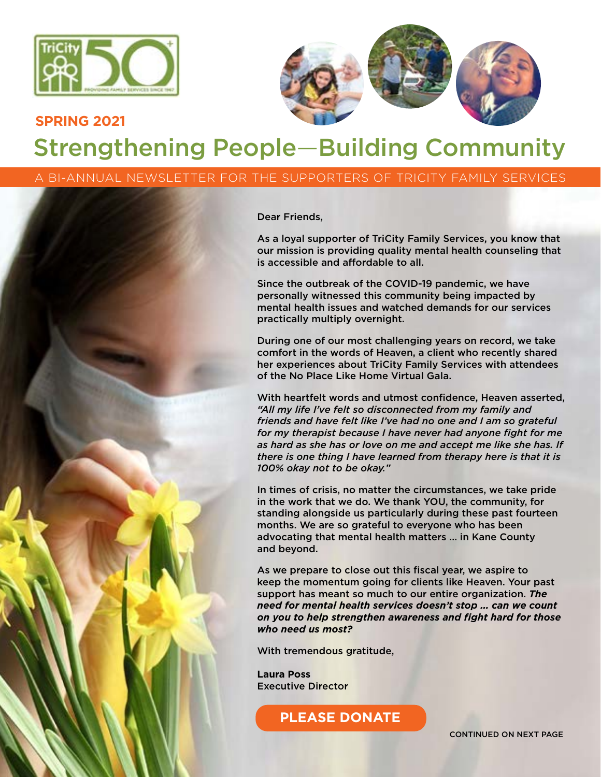



## Strengthening People—Building Community **SPRING 2021**

A BI-ANNUAL NEWSLETTER FOR THE SUPPORTERS OF TRICITY FAMILY SERVICES

Dear Friends,

As a loyal supporter of TriCity Family Services, you know that our mission is providing quality mental health counseling that is accessible and affordable to all.

Since the outbreak of the COVID-19 pandemic, we have personally witnessed this community being impacted by mental health issues and watched demands for our services practically multiply overnight.

During one of our most challenging years on record, we take comfort in the words of Heaven, a client who recently shared her experiences about TriCity Family Services with attendees of the No Place Like Home Virtual Gala.

With heartfelt words and utmost confidence, Heaven asserted, *"All my life I've felt so disconnected from my family and friends and have felt like I've had no one and I am so grateful for my therapist because I have never had anyone fight for me as hard as she has or love on me and accept me like she has. If there is one thing I have learned from therapy here is that it is 100% okay not to be okay."*

In times of crisis, no matter the circumstances, we take pride in the work that we do. We thank YOU, the community, for standing alongside us particularly during these past fourteen months. We are so grateful to everyone who has been advocating that mental health matters … in Kane County and beyond.

As we prepare to close out this fiscal year, we aspire to keep the momentum going for clients like Heaven. Your past support has meant so much to our entire organization. *The need for mental health services doesn't stop … can we count on you to help strengthen awareness and fight hard for those who need us most?* 

With tremendous gratitude,

**Laura Poss** Executive Director

**[PLEASE DONATE](https://secure.acceptiva.com/?cst=bfc86b)**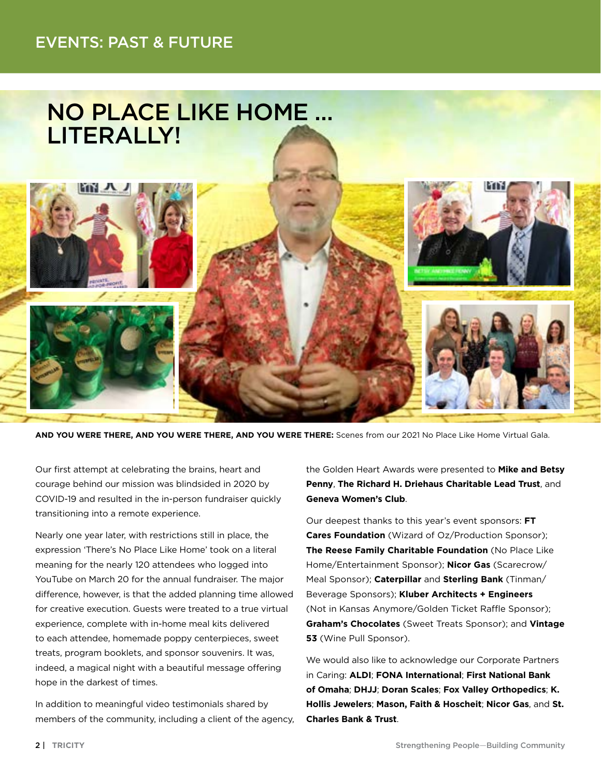### EVENTS: PAST & FUTURE



**AND YOU WERE THERE, AND YOU WERE THERE, AND YOU WERE THERE:** Scenes from our 2021 No Place Like Home Virtual Gala.

Our first attempt at celebrating the brains, heart and courage behind our mission was blindsided in 2020 by COVID-19 and resulted in the in-person fundraiser quickly transitioning into a remote experience.

Nearly one year later, with restrictions still in place, the expression 'There's No Place Like Home' took on a literal meaning for the nearly 120 attendees who logged into YouTube on March 20 for the annual fundraiser. The major difference, however, is that the added planning time allowed for creative execution. Guests were treated to a true virtual experience, complete with in-home meal kits delivered to each attendee, homemade poppy centerpieces, sweet treats, program booklets, and sponsor souvenirs. It was, indeed, a magical night with a beautiful message offering hope in the darkest of times.

In addition to meaningful video testimonials shared by members of the community, including a client of the agency, the Golden Heart Awards were presented to **Mike and Betsy Penny**, **The Richard H. Driehaus Charitable Lead Trust**, and **Geneva Women's Club**.

Our deepest thanks to this year's event sponsors: **FT Cares Foundation** (Wizard of Oz/Production Sponsor); **The Reese Family Charitable Foundation** (No Place Like Home/Entertainment Sponsor); **Nicor Gas** (Scarecrow/ Meal Sponsor); **Caterpillar** and **Sterling Bank** (Tinman/ Beverage Sponsors); **Kluber Architects + Engineers** (Not in Kansas Anymore/Golden Ticket Raffle Sponsor); **Graham's Chocolates** (Sweet Treats Sponsor); and **Vintage 53** (Wine Pull Sponsor).

We would also like to acknowledge our Corporate Partners in Caring: **ALDI**; **FONA International**; **First National Bank of Omaha**; **DHJJ**; **Doran Scales**; **Fox Valley Orthopedics**; **K. Hollis Jewelers**; **Mason, Faith & Hoscheit**; **Nicor Gas**, and **St. Charles Bank & Trust**.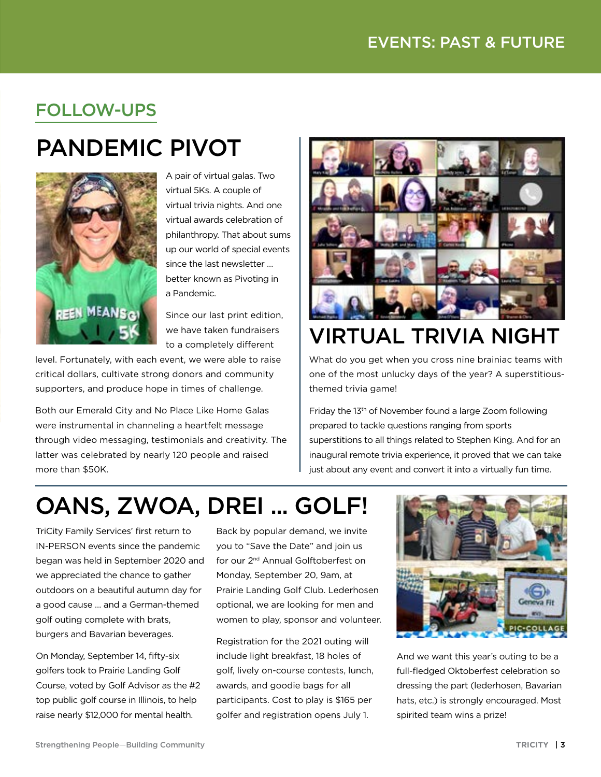## FOLLOW-UPS

# PANDEMIC PIVOT



A pair of virtual galas. Two virtual 5Ks. A couple of virtual trivia nights. And one virtual awards celebration of philanthropy. That about sums up our world of special events since the last newsletter … better known as Pivoting in a Pandemic.

Since our last print edition, we have taken fundraisers to a completely different

level. Fortunately, with each event, we were able to raise critical dollars, cultivate strong donors and community supporters, and produce hope in times of challenge.

Both our Emerald City and No Place Like Home Galas were instrumental in channeling a heartfelt message through video messaging, testimonials and creativity. The latter was celebrated by nearly 120 people and raised more than \$50K.



# VIRTUAL TRIVIA NIGHT

What do you get when you cross nine brainiac teams with one of the most unlucky days of the year? A superstitiousthemed trivia game!

Friday the 13th of November found a large Zoom following prepared to tackle questions ranging from sports superstitions to all things related to Stephen King. And for an inaugural remote trivia experience, it proved that we can take just about any event and convert it into a virtually fun time.

# OANS, ZWOA, DREI ... GOLF!

TriCity Family Services' first return to IN-PERSON events since the pandemic began was held in September 2020 and we appreciated the chance to gather outdoors on a beautiful autumn day for a good cause … and a German-themed golf outing complete with brats, burgers and Bavarian beverages.

On Monday, September 14, fifty-six golfers took to Prairie Landing Golf Course, voted by Golf Advisor as the #2 top public golf course in Illinois, to help raise nearly \$12,000 for mental health.

Back by popular demand, we invite you to "Save the Date" and join us for our 2nd Annual Golftoberfest on Monday, September 20, 9am, at Prairie Landing Golf Club. Lederhosen optional, we are looking for men and women to play, sponsor and volunteer.

Registration for the 2021 outing will include light breakfast, 18 holes of golf, lively on-course contests, lunch, awards, and goodie bags for all participants. Cost to play is \$165 per golfer and registration opens July 1.



And we want this year's outing to be a full-fledged Oktoberfest celebration so dressing the part (lederhosen, Bavarian hats, etc.) is strongly encouraged. Most spirited team wins a prize!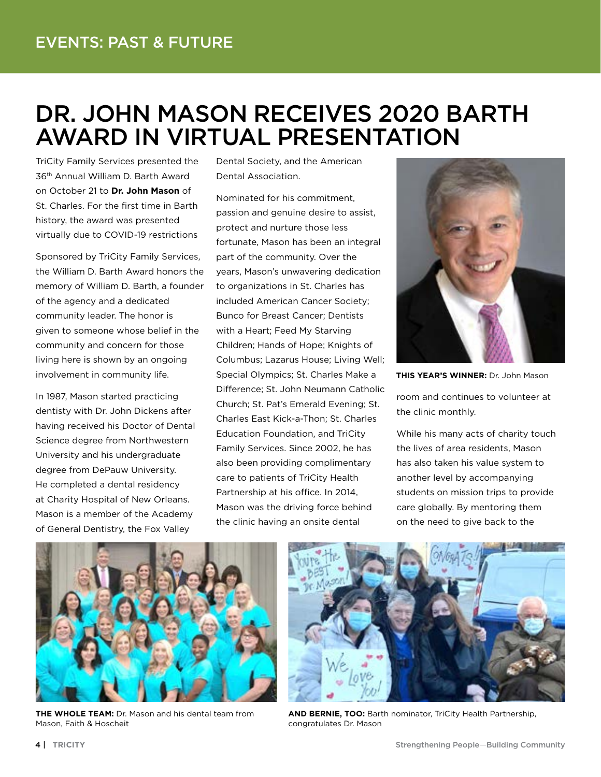## DR. JOHN MASON RECEIVES 2020 BARTH AWARD IN VIRTUAL PRESENTATION

TriCity Family Services presented the 36th Annual William D. Barth Award on October 21 to **Dr. John Mason** of St. Charles. For the first time in Barth history, the award was presented virtually due to COVID-19 restrictions

Sponsored by TriCity Family Services, the William D. Barth Award honors the memory of William D. Barth, a founder of the agency and a dedicated community leader. The honor is given to someone whose belief in the community and concern for those living here is shown by an ongoing involvement in community life.

In 1987, Mason started practicing dentisty with Dr. John Dickens after having received his Doctor of Dental Science degree from Northwestern University and his undergraduate degree from DePauw University. He completed a dental residency at Charity Hospital of New Orleans. Mason is a member of the Academy of General Dentistry, the Fox Valley

Dental Society, and the American Dental Association.

Nominated for his commitment, passion and genuine desire to assist, protect and nurture those less fortunate, Mason has been an integral part of the community. Over the years, Mason's unwavering dedication to organizations in St. Charles has included American Cancer Society; Bunco for Breast Cancer; Dentists with a Heart; Feed My Starving Children; Hands of Hope; Knights of Columbus; Lazarus House; Living Well; Special Olympics; St. Charles Make a Difference; St. John Neumann Catholic Church; St. Pat's Emerald Evening; St. Charles East Kick-a-Thon; St. Charles Education Foundation, and TriCity Family Services. Since 2002, he has also been providing complimentary care to patients of TriCity Health Partnership at his office. In 2014, Mason was the driving force behind the clinic having an onsite dental



**THIS YEAR'S WINNER:** Dr. John Mason

room and continues to volunteer at the clinic monthly.

While his many acts of charity touch the lives of area residents, Mason has also taken his value system to another level by accompanying students on mission trips to provide care globally. By mentoring them on the need to give back to the



**THE WHOLE TEAM:** Dr. Mason and his dental team from Mason, Faith & Hoscheit



**AND BERNIE, TOO:** Barth nominator, TriCity Health Partnership, congratulates Dr. Mason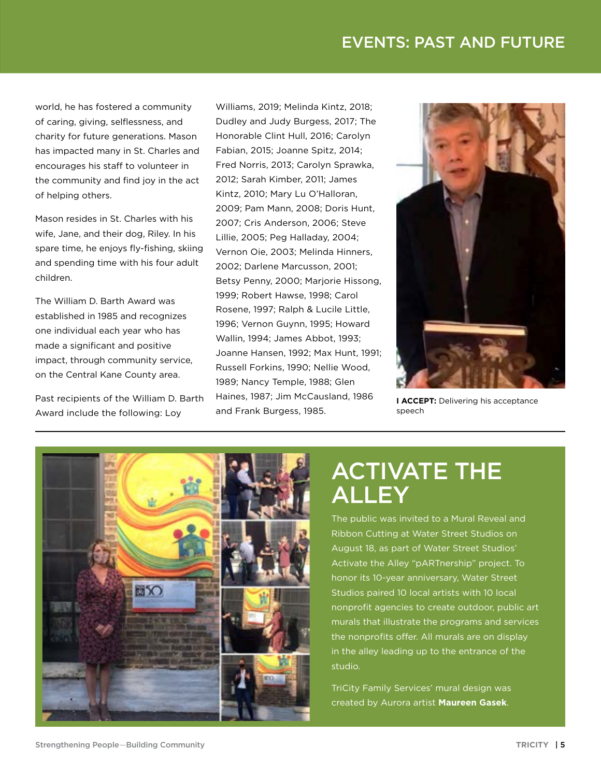### EVENTS: PAST AND FUTURE

world, he has fostered a community of caring, giving, selflessness, and charity for future generations. Mason has impacted many in St. Charles and encourages his staff to volunteer in the community and find joy in the act of helping others.

Mason resides in St. Charles with his wife, Jane, and their dog, Riley. In his spare time, he enjoys fly-fishing, skiing and spending time with his four adult children.

The William D. Barth Award was established in 1985 and recognizes one individual each year who has made a significant and positive impact, through community service, on the Central Kane County area.

Past recipients of the William D. Barth Award include the following: Loy

Williams, 2019; Melinda Kintz, 2018; Dudley and Judy Burgess, 2017; The Honorable Clint Hull, 2016; Carolyn Fabian, 2015; Joanne Spitz, 2014; Fred Norris, 2013; Carolyn Sprawka, 2012; Sarah Kimber, 2011; James Kintz, 2010; Mary Lu O'Halloran, 2009; Pam Mann, 2008; Doris Hunt, 2007; Cris Anderson, 2006; Steve Lillie, 2005; Peg Halladay, 2004; Vernon Oie, 2003; Melinda Hinners, 2002; Darlene Marcusson, 2001; Betsy Penny, 2000; Marjorie Hissong, 1999; Robert Hawse, 1998; Carol Rosene, 1997; Ralph & Lucile Little, 1996; Vernon Guynn, 1995; Howard Wallin, 1994; James Abbot, 1993; Joanne Hansen, 1992; Max Hunt, 1991; Russell Forkins, 1990; Nellie Wood, 1989; Nancy Temple, 1988; Glen Haines, 1987; Jim McCausland, 1986 and Frank Burgess, 1985.



**I ACCEPT:** Delivering his acceptance speech



## ACTIVATE THE ALLEY

The public was invited to a Mural Reveal and Ribbon Cutting at Water Street Studios on August 18, as part of Water Street Studios' Activate the Alley "pARTnership" project. To honor its 10-year anniversary, Water Street Studios paired 10 local artists with 10 local nonprofit agencies to create outdoor, public art murals that illustrate the programs and services the nonprofits offer. All murals are on display in the alley leading up to the entrance of the studio.

TriCity Family Services' mural design was created by Aurora artist **Maureen Gasek**.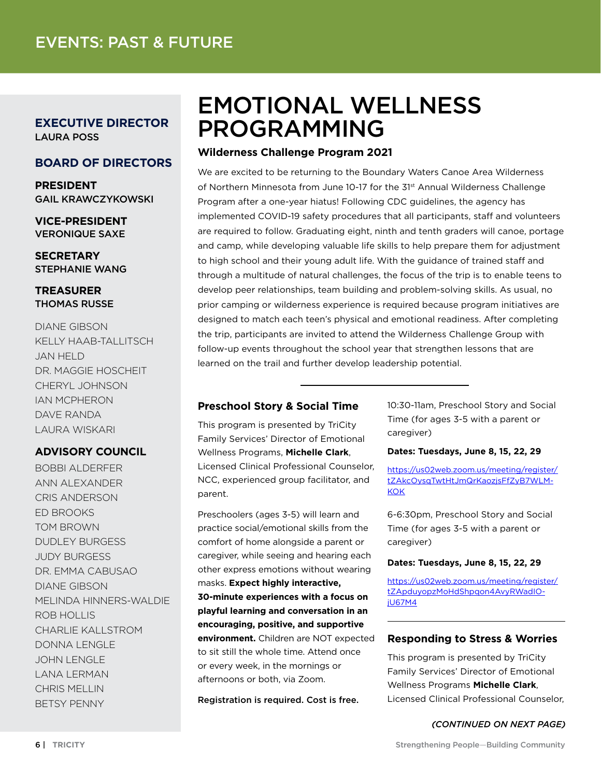**EXECUTIVE DIRECTOR** LAURA POSS

#### **BOARD OF DIRECTORS**

**PRESIDENT**  GAIL KRAWCZYKOWSKI

**VICE-PRESIDENT** VERONIQUE SAXE

**SECRETARY** STEPHANIE WANG

#### **TREASURER**  THOMAS RUSSE

DIANE GIBSON KELLY HAAB-TALLITSCH JAN HELD DR. MAGGIE HOSCHEIT CHERYL JOHNSON IAN MCPHERON DAVE RANDA LAURA WISKARI

#### **ADVISORY COUNCIL**

BOBBI ALDERFER ANN ALEXANDER CRIS ANDERSON ED BROOKS TOM BROWN DUDLEY BURGESS JUDY BURGESS DR. EMMA CABUSAO DIANE GIBSON MELINDA HINNERS-WALDIE ROB HOLLIS CHARLIE KALLSTROM DONNA LENGLE JOHN LENGLE LANA LERMAN CHRIS MELLIN BETSY PENNY

## EMOTIONAL WELLNESS PROGRAMMING

#### **Wilderness Challenge Program 2021**

We are excited to be returning to the Boundary Waters Canoe Area Wilderness of Northern Minnesota from June 10-17 for the 31st Annual Wilderness Challenge Program after a one-year hiatus! Following CDC guidelines, the agency has implemented COVID-19 safety procedures that all participants, staff and volunteers are required to follow. Graduating eight, ninth and tenth graders will canoe, portage and camp, while developing valuable life skills to help prepare them for adjustment to high school and their young adult life. With the guidance of trained staff and through a multitude of natural challenges, the focus of the trip is to enable teens to develop peer relationships, team building and problem-solving skills. As usual, no prior camping or wilderness experience is required because program initiatives are designed to match each teen's physical and emotional readiness. After completing the trip, participants are invited to attend the Wilderness Challenge Group with follow-up events throughout the school year that strengthen lessons that are learned on the trail and further develop leadership potential.

#### **Preschool Story & Social Time**

This program is presented by TriCity Family Services' Director of Emotional Wellness Programs, **Michelle Clark**, Licensed Clinical Professional Counselor, NCC, experienced group facilitator, and parent.

Preschoolers (ages 3-5) will learn and practice social/emotional skills from the comfort of home alongside a parent or caregiver, while seeing and hearing each other express emotions without wearing masks. **Expect highly interactive, 30-minute experiences with a focus on playful learning and conversation in an encouraging, positive, and supportive environment.** Children are NOT expected to sit still the whole time. Attend once or every week, in the mornings or afternoons or both, via Zoom.

Registration is required. Cost is free.

10:30-11am, Preschool Story and Social Time (for ages 3-5 with a parent or caregiver)

#### **Dates: Tuesdays, June 8, 15, 22, 29**

[https://us02web.zoom.us/meeting/register/](https://us02web.zoom.us/meeting/register/tZAkcOysqTwtHtJmQrKaozjsFfZyB7WLMKOK) [tZAkcOysqTwtHtJmQrKaozjsFfZyB7WLM-](https://us02web.zoom.us/meeting/register/tZAkcOysqTwtHtJmQrKaozjsFfZyB7WLMKOK)**[KOK](https://us02web.zoom.us/meeting/register/tZAkcOysqTwtHtJmQrKaozjsFfZyB7WLMKOK)** 

6-6:30pm, Preschool Story and Social Time (for ages 3-5 with a parent or caregiver)

#### **Dates: Tuesdays, June 8, 15, 22, 29**

[https://us02web.zoom.us/meeting/register/](https://us02web.zoom.us/meeting/register/tZApduyopzMoHdShpqon4AvyRWadIOjU67M4) [tZApduyopzMoHdShpqon4AvyRWadIO](https://us02web.zoom.us/meeting/register/tZApduyopzMoHdShpqon4AvyRWadIOjU67M4)[jU67M4](https://us02web.zoom.us/meeting/register/tZApduyopzMoHdShpqon4AvyRWadIOjU67M4)

#### **Responding to Stress & Worries**

This program is presented by TriCity Family Services' Director of Emotional Wellness Programs **Michelle Clark**, Licensed Clinical Professional Counselor,

#### *(CONTINUED ON NEXT PAGE)*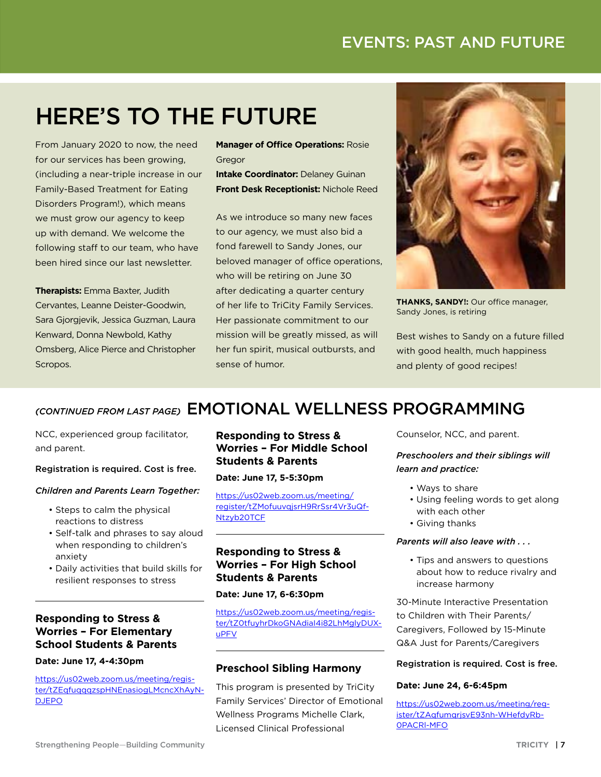### EVENTS: PAST AND FUTURE

# HERE'S TO THE FUTURE

From January 2020 to now, the need for our services has been growing, (including a near-triple increase in our Family-Based Treatment for Eating Disorders Program!), which means we must grow our agency to keep up with demand. We welcome the following staff to our team, who have been hired since our last newsletter.

**Therapists:** Emma Baxter, Judith Cervantes, Leanne Deister-Goodwin, Sara Gjorgjevik, Jessica Guzman, Laura Kenward, Donna Newbold, Kathy Omsberg, Alice Pierce and Christopher Scropos.

**Manager of Office Operations:** Rosie Gregor

**Intake Coordinator: Delaney Guinan Front Desk Receptionist:** Nichole Reed

As we introduce so many new faces to our agency, we must also bid a fond farewell to Sandy Jones, our beloved manager of office operations, who will be retiring on June 30 after dedicating a quarter century of her life to TriCity Family Services. Her passionate commitment to our mission will be greatly missed, as will her fun spirit, musical outbursts, and sense of humor.



**THANKS, SANDY!:** Our office manager, Sandy Jones, is retiring

Best wishes to Sandy on a future filled with good health, much happiness and plenty of good recipes!

### *(CONTINUED FROM LAST PAGE)* EMOTIONAL WELLNESS PROGRAMMING

NCC, experienced group facilitator, and parent.

#### Registration is required. Cost is free.

#### *Children and Parents Learn Together:*

- Steps to calm the physical reactions to distress
- Self-talk and phrases to say aloud when responding to children's anxiety
- Daily activities that build skills for resilient responses to stress

#### **Responding to Stress & Worries – For Elementary School Students & Parents**

#### **Date: June 17, 4-4:30pm**

[https://us02web.zoom.us/meeting/regis](https://us02web.zoom.us/meeting/register/tZEqfuqqqzspHNEnasiogLMcncXhAyNDJEPO)[ter/tZEqfuqqqzspHNEnasiogLMcncXhAyN-](https://us02web.zoom.us/meeting/register/tZEqfuqqqzspHNEnasiogLMcncXhAyNDJEPO)[DJEPO](https://us02web.zoom.us/meeting/register/tZEqfuqqqzspHNEnasiogLMcncXhAyNDJEPO)

#### **Responding to Stress & Worries – For Middle School Students & Parents**

**Date: June 17, 5-5:30pm**

[https://us02web.zoom.us/meeting/](https://us02web.zoom.us/meeting/register/tZMofuuvqjsrH9RrSsr4Vr3uQfNtzyb20TCF) [register/tZMofuuvqjsrH9RrSsr4Vr3uQf-](https://us02web.zoom.us/meeting/register/tZMofuuvqjsrH9RrSsr4Vr3uQfNtzyb20TCF)[Ntzyb20TCF](https://us02web.zoom.us/meeting/register/tZMofuuvqjsrH9RrSsr4Vr3uQfNtzyb20TCF)

#### **Responding to Stress & Worries – For High School Students & Parents**

#### **Date: June 17, 6-6:30pm**

[https://us02web.zoom.us/meeting/regis](https://us02web.zoom.us/meeting/register/tZ0tfuyhrDkoGNAdiaI4i82LhMglyDUXuPFV)[ter/tZ0tfuyhrDkoGNAdiaI4i82LhMglyDUX](https://us02web.zoom.us/meeting/register/tZ0tfuyhrDkoGNAdiaI4i82LhMglyDUXuPFV)[uPFV](https://us02web.zoom.us/meeting/register/tZ0tfuyhrDkoGNAdiaI4i82LhMglyDUXuPFV)

#### **Preschool Sibling Harmony**

This program is presented by TriCity Family Services' Director of Emotional Wellness Programs Michelle Clark, Licensed Clinical Professional

Counselor, NCC, and parent.

#### *Preschoolers and their siblings will learn and practice:*

- Ways to share
- Using feeling words to get along with each other
- Giving thanks

#### *Parents will also leave with . . .*

• Tips and answers to questions about how to reduce rivalry and increase harmony

30-Minute Interactive Presentation to Children with Their Parents/ Caregivers, Followed by 15-Minute Q&A Just for Parents/Caregivers

#### Registration is required. Cost is free.

#### **Date: June 24, 6-6:45pm**

[https://us02web.zoom.us/meeting/reg](https://us02web.zoom.us/meeting/register/tZAqfumqrjsvE93nh-WHefdyRb0PACRl-MFO)[ister/tZAqfumqrjsvE93nh-WHefdyRb-](https://us02web.zoom.us/meeting/register/tZAqfumqrjsvE93nh-WHefdyRb0PACRl-MFO)[0PACRl-MFO](https://us02web.zoom.us/meeting/register/tZAqfumqrjsvE93nh-WHefdyRb0PACRl-MFO)